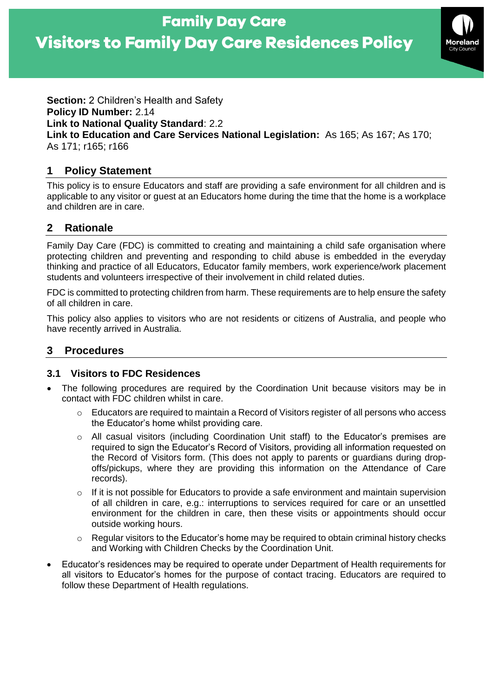# **Visitors to Family Day Care Residences Policy**



**Section:** 2 Children's Health and Safety **Policy ID Number:** 2.14 **Link to National Quality Standard**: 2.2 **Link to Education and Care Services National Legislation:** As 165; As 167; As 170; As 171; r165; r166

## **1 Policy Statement**

This policy is to ensure Educators and staff are providing a safe environment for all children and is applicable to any visitor or guest at an Educators home during the time that the home is a workplace and children are in care.

# **2 Rationale**

Family Day Care (FDC) is committed to creating and maintaining a child safe organisation where protecting children and preventing and responding to child abuse is embedded in the everyday thinking and practice of all Educators, Educator family members, work experience/work placement students and volunteers irrespective of their involvement in child related duties.

FDC is committed to protecting children from harm. These requirements are to help ensure the safety of all children in care.

This policy also applies to visitors who are not residents or citizens of Australia, and people who have recently arrived in Australia.

## **3 Procedures**

## **3.1 Visitors to FDC Residences**

- The following procedures are required by the Coordination Unit because visitors may be in contact with FDC children whilst in care.
	- $\circ$  Educators are required to maintain a Record of Visitors register of all persons who access the Educator's home whilst providing care.
	- $\circ$  All casual visitors (including Coordination Unit staff) to the Educator's premises are required to sign the Educator's Record of Visitors, providing all information requested on the Record of Visitors form. (This does not apply to parents or guardians during dropoffs/pickups, where they are providing this information on the Attendance of Care records).
	- $\circ$  If it is not possible for Educators to provide a safe environment and maintain supervision of all children in care, e.g.: interruptions to services required for care or an unsettled environment for the children in care, then these visits or appointments should occur outside working hours.
	- $\circ$  Regular visitors to the Educator's home may be required to obtain criminal history checks and Working with Children Checks by the Coordination Unit.
- Educator's residences may be required to operate under Department of Health requirements for all visitors to Educator's homes for the purpose of contact tracing. Educators are required to follow these Department of Health regulations.